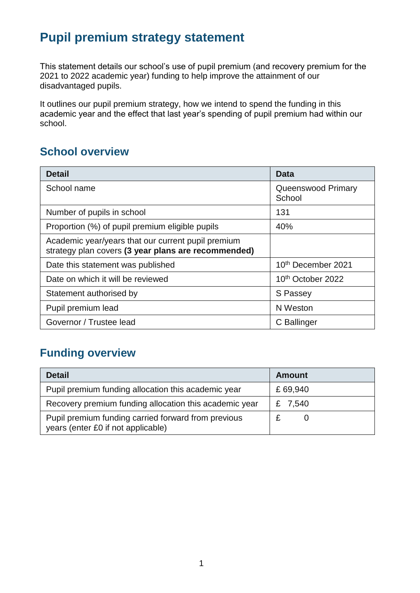# **Pupil premium strategy statement**

This statement details our school's use of pupil premium (and recovery premium for the 2021 to 2022 academic year) funding to help improve the attainment of our disadvantaged pupils.

It outlines our pupil premium strategy, how we intend to spend the funding in this academic year and the effect that last year's spending of pupil premium had within our school.

## **School overview**

| <b>Detail</b>                                                                                             | Data                          |
|-----------------------------------------------------------------------------------------------------------|-------------------------------|
| School name                                                                                               | Queenswood Primary<br>School  |
| Number of pupils in school                                                                                | 131                           |
| Proportion (%) of pupil premium eligible pupils                                                           | 40%                           |
| Academic year/years that our current pupil premium<br>strategy plan covers (3 year plans are recommended) |                               |
| Date this statement was published                                                                         | 10th December 2021            |
| Date on which it will be reviewed                                                                         | 10 <sup>th</sup> October 2022 |
| Statement authorised by                                                                                   | S Passey                      |
| Pupil premium lead                                                                                        | N Weston                      |
| Governor / Trustee lead                                                                                   | C Ballinger                   |

## **Funding overview**

| <b>Detail</b>                                                                             | <b>Amount</b> |
|-------------------------------------------------------------------------------------------|---------------|
| Pupil premium funding allocation this academic year                                       | £69,940       |
| Recovery premium funding allocation this academic year                                    | £ 7,540       |
| Pupil premium funding carried forward from previous<br>years (enter £0 if not applicable) |               |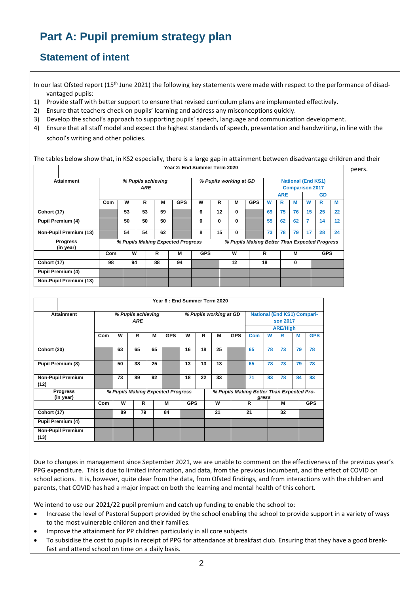# **Part A: Pupil premium strategy plan**

#### **Statement of intent**

In our last Ofsted report (15<sup>th</sup> June 2021) the following key statements were made with respect to the performance of disadvantaged pupils:

- 1) Provide staff with better support to ensure that revised curriculum plans are implemented effectively.
- 2) Ensure that teachers check on pupils' learning and address any misconceptions quickly.
- 3) Develop the school's approach to supporting pupils' speech, language and communication development.
- 4) Ensure that all staff model and expect the highest standards of speech, presentation and handwriting, in line with the school's writing and other policies.

The tables below show that, in KS2 especially, there is a large gap in attainment between disadvantage children and their

|                              |                           |                                                                                    |    |    | Year 2: End Summer Term 2020 |            |                        |            |            |    |    |           |    |                                                     |    |  |  |  |  |
|------------------------------|---------------------------|------------------------------------------------------------------------------------|----|----|------------------------------|------------|------------------------|------------|------------|----|----|-----------|----|-----------------------------------------------------|----|--|--|--|--|
| <b>Attainment</b>            | % Pupils achieving<br>ARE |                                                                                    |    |    |                              |            | % Pupils working at GD |            |            |    |    |           |    | <b>National (End KS1)</b><br><b>Comparison 2017</b> |    |  |  |  |  |
|                              |                           |                                                                                    |    |    |                              |            |                        | <b>ARE</b> |            |    |    | <b>GD</b> |    |                                                     |    |  |  |  |  |
|                              | Com                       | W                                                                                  | R  | M  | <b>GPS</b>                   | W          | R                      | M          | <b>GPS</b> | W  | R  | М         | W  | R                                                   | М  |  |  |  |  |
| Cohort (17)                  |                           | 53                                                                                 | 53 | 59 |                              | 6          | 12                     | 0          |            | 69 | 75 | 76        | 15 | 25                                                  | 22 |  |  |  |  |
| Pupil Premium (4)            |                           | 50                                                                                 | 50 | 50 |                              | 0          | 0                      | 0          |            | 55 | 62 | 62        | 7  | 14                                                  | 12 |  |  |  |  |
| Non-Pupil Premium (13)       |                           | 54                                                                                 | 54 | 62 |                              | 8          | 15                     | 0          |            | 73 | 78 | 79        | 17 | 28                                                  | 24 |  |  |  |  |
| <b>Progress</b><br>(in year) |                           | % Pupils Making Better Than Expected Progress<br>% Pupils Making Expected Progress |    |    |                              |            |                        |            |            |    |    |           |    |                                                     |    |  |  |  |  |
|                              | Com                       | W                                                                                  |    | R  | м                            | <b>GPS</b> |                        | W          |            | R  |    | М         |    | <b>GPS</b>                                          |    |  |  |  |  |
| Cohort (17)                  | 98                        | 94                                                                                 |    | 88 | 94                           |            |                        | 12         |            | 18 |    | 0         |    |                                                     |    |  |  |  |  |
| <b>Pupil Premium (4)</b>     |                           |                                                                                    |    |    |                              |            |                        |            |            |    |    |           |    |                                                     |    |  |  |  |  |
| Non-Pupil Premium (13)       |                           |                                                                                    |    |    |                              |            |                        |            |            |    |    |           |    |                                                     |    |  |  |  |  |

|                                  |                                  |    |    |    |                                   |            |    | Year 6: End Summer Term 2020 |                                                |                                           |       |                 |    |            |
|----------------------------------|----------------------------------|----|----|----|-----------------------------------|------------|----|------------------------------|------------------------------------------------|-------------------------------------------|-------|-----------------|----|------------|
| <b>Attainment</b>                | % Pupils achieving<br><b>ARE</b> |    |    |    | % Pupils working at GD            |            |    |                              | <b>National (End KS1) Compari-</b><br>son 2017 |                                           |       |                 |    |            |
|                                  |                                  |    |    |    |                                   |            |    |                              |                                                |                                           |       | <b>ARE/High</b> |    |            |
|                                  | Com                              | W  | R  | M  | <b>GPS</b>                        | W          | R  | M                            | <b>GPS</b>                                     | <b>Com</b>                                | W     | R               | М  | <b>GPS</b> |
| Cohort (20)                      |                                  | 63 | 65 | 65 |                                   | 16         | 18 | 25                           |                                                | 65                                        | 78    | 73              | 79 | 78         |
| <b>Pupil Premium (8)</b>         |                                  | 50 | 38 | 25 |                                   | 13         | 13 | 13                           |                                                | 65                                        | 78    | 73              | 79 | 78         |
| <b>Non-Pupil Premium</b><br>(12) |                                  | 73 | 89 | 92 |                                   | 18         | 22 | 33                           |                                                | 71                                        | 83    | 78              | 84 | 83         |
| <b>Progress</b><br>(in year)     |                                  |    |    |    | % Pupils Making Expected Progress |            |    |                              |                                                | % Pupils Making Better Than Expected Pro- | gress |                 |    |            |
|                                  | Com                              | W  | R  |    | M                                 | <b>GPS</b> |    | W                            |                                                | R                                         |       | M               |    | <b>GPS</b> |
| Cohort (17)                      |                                  | 89 | 79 |    | 84                                |            |    | 21                           |                                                | 21                                        |       | 32              |    |            |
| <b>Pupil Premium (4)</b>         |                                  |    |    |    |                                   |            |    |                              |                                                |                                           |       |                 |    |            |
| <b>Non-Pupil Premium</b>         |                                  |    |    |    |                                   |            |    |                              |                                                |                                           |       |                 |    |            |
| (13)                             |                                  |    |    |    |                                   |            |    |                              |                                                |                                           |       |                 |    |            |

Due to changes in management since September 2021, we are unable to comment on the effectiveness of the previous year's PPG expenditure. This is due to limited information, and data, from the previous incumbent, and the effect of COVID on school actions. It is, however, quite clear from the data, from Ofsted findings, and from interactions with the children and parents, that COVID has had a major impact on both the learning and mental health of this cohort.

We intend to use our 2021/22 pupil premium and catch up funding to enable the school to:

- Increase the level of Pastoral Support provided by the school enabling the school to provide support in a variety of ways to the most vulnerable children and their families.
- Improve the attainment for PP children particularly in all core subjects
- To subsidise the cost to pupils in receipt of PPG for attendance at breakfast club. Ensuring that they have a good breakfast and attend school on time on a daily basis.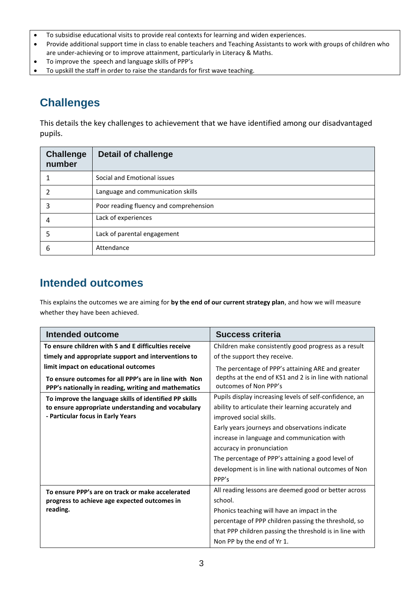- To subsidise educational visits to provide real contexts for learning and widen experiences.
- Provide additional support time in class to enable teachers and Teaching Assistants to work with groups of children who are under-achieving or to improve attainment, particularly in Literacy & Maths.
- To improve the speech and language skills of PPP's
- To upskill the staff in order to raise the standards for first wave teaching.

## **Challenges**

This details the key challenges to achievement that we have identified among our disadvantaged pupils.

| <b>Challenge</b><br>number | <b>Detail of challenge</b>             |
|----------------------------|----------------------------------------|
|                            | Social and Emotional issues            |
|                            | Language and communication skills      |
| 3                          | Poor reading fluency and comprehension |
| 4                          | Lack of experiences                    |
|                            | Lack of parental engagement            |
| h                          | Attendance                             |

## **Intended outcomes**

This explains the outcomes we are aiming for **by the end of our current strategy plan**, and how we will measure whether they have been achieved.

| <b>Intended outcome</b>                                                                                       | <b>Success criteria</b>                                                          |  |  |  |
|---------------------------------------------------------------------------------------------------------------|----------------------------------------------------------------------------------|--|--|--|
| To ensure children with S and E difficulties receive                                                          | Children make consistently good progress as a result                             |  |  |  |
| timely and appropriate support and interventions to                                                           | of the support they receive.                                                     |  |  |  |
| limit impact on educational outcomes                                                                          | The percentage of PPP's attaining ARE and greater                                |  |  |  |
| To ensure outcomes for all PPP's are in line with Non<br>PPP's nationally in reading, writing and mathematics | depths at the end of KS1 and 2 is in line with national<br>outcomes of Non PPP's |  |  |  |
| To improve the language skills of identified PP skills                                                        | Pupils display increasing levels of self-confidence, an                          |  |  |  |
| to ensure appropriate understanding and vocabulary                                                            | ability to articulate their learning accurately and<br>improved social skills.   |  |  |  |
| - Particular focus in Early Years                                                                             |                                                                                  |  |  |  |
|                                                                                                               | Early years journeys and observations indicate                                   |  |  |  |
|                                                                                                               | increase in language and communication with                                      |  |  |  |
|                                                                                                               | accuracy in pronunciation                                                        |  |  |  |
|                                                                                                               | The percentage of PPP's attaining a good level of                                |  |  |  |
|                                                                                                               | development is in line with national outcomes of Non                             |  |  |  |
|                                                                                                               | PPP's                                                                            |  |  |  |
| To ensure PPP's are on track or make accelerated                                                              | All reading lessons are deemed good or better across                             |  |  |  |
| progress to achieve age expected outcomes in                                                                  | school.                                                                          |  |  |  |
| reading.                                                                                                      | Phonics teaching will have an impact in the                                      |  |  |  |
|                                                                                                               | percentage of PPP children passing the threshold, so                             |  |  |  |
|                                                                                                               | that PPP children passing the threshold is in line with                          |  |  |  |
|                                                                                                               | Non PP by the end of Yr 1.                                                       |  |  |  |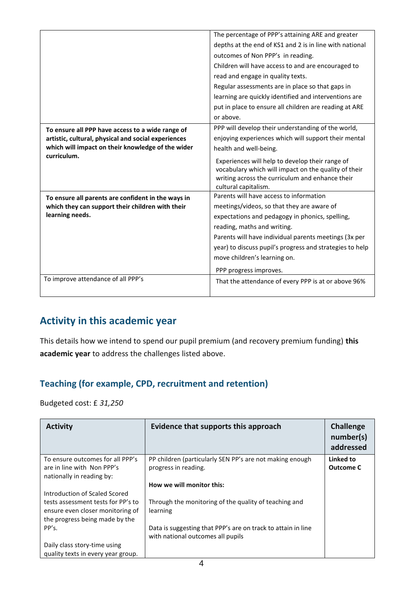|                                                                  | The percentage of PPP's attaining ARE and greater                                                                                                                                  |
|------------------------------------------------------------------|------------------------------------------------------------------------------------------------------------------------------------------------------------------------------------|
|                                                                  | depths at the end of KS1 and 2 is in line with national                                                                                                                            |
|                                                                  | outcomes of Non PPP's in reading.                                                                                                                                                  |
|                                                                  | Children will have access to and are encouraged to                                                                                                                                 |
|                                                                  | read and engage in quality texts.                                                                                                                                                  |
|                                                                  | Regular assessments are in place so that gaps in                                                                                                                                   |
|                                                                  | learning are quickly identified and interventions are                                                                                                                              |
|                                                                  | put in place to ensure all children are reading at ARE                                                                                                                             |
|                                                                  | or above.                                                                                                                                                                          |
| To ensure all PPP have access to a wide range of                 | PPP will develop their understanding of the world,                                                                                                                                 |
| artistic, cultural, physical and social experiences              | enjoying experiences which will support their mental                                                                                                                               |
| which will impact on their knowledge of the wider<br>curriculum. | health and well-being.                                                                                                                                                             |
|                                                                  | Experiences will help to develop their range of<br>vocabulary which will impact on the quality of their<br>writing across the curriculum and enhance their<br>cultural capitalism. |
| To ensure all parents are confident in the ways in               | Parents will have access to information                                                                                                                                            |
| which they can support their children with their                 | meetings/videos, so that they are aware of                                                                                                                                         |
| learning needs.                                                  | expectations and pedagogy in phonics, spelling,                                                                                                                                    |
|                                                                  | reading, maths and writing.                                                                                                                                                        |
|                                                                  | Parents will have individual parents meetings (3x per                                                                                                                              |
|                                                                  | year) to discuss pupil's progress and strategies to help                                                                                                                           |
|                                                                  | move children's learning on.                                                                                                                                                       |
|                                                                  | PPP progress improves.                                                                                                                                                             |
| To improve attendance of all PPP's                               | That the attendance of every PPP is at or above 96%                                                                                                                                |

### **Activity in this academic year**

This details how we intend to spend our pupil premium (and recovery premium funding) **this academic year** to address the challenges listed above.

### **Teaching (for example, CPD, recruitment and retention)**

Budgeted cost: £ *31,250*

| <b>Activity</b>                                                                                          | Evidence that supports this approach                                             | <b>Challenge</b><br>number(s)<br>addressed |
|----------------------------------------------------------------------------------------------------------|----------------------------------------------------------------------------------|--------------------------------------------|
| To ensure outcomes for all PPP's<br>are in line with Non PPP's<br>nationally in reading by:              | PP children (particularly SEN PP's are not making enough<br>progress in reading. | Linked to<br><b>Outcome C</b>              |
|                                                                                                          | How we will monitor this:                                                        |                                            |
| Introduction of Scaled Scored                                                                            |                                                                                  |                                            |
| tests assessment tests for PP's to<br>ensure even closer monitoring of<br>the progress being made by the | Through the monitoring of the quality of teaching and<br>learning                |                                            |
| PP's.                                                                                                    | Data is suggesting that PPP's are on track to attain in line                     |                                            |
|                                                                                                          | with national outcomes all pupils                                                |                                            |
| Daily class story-time using                                                                             |                                                                                  |                                            |
| quality texts in every year group.                                                                       |                                                                                  |                                            |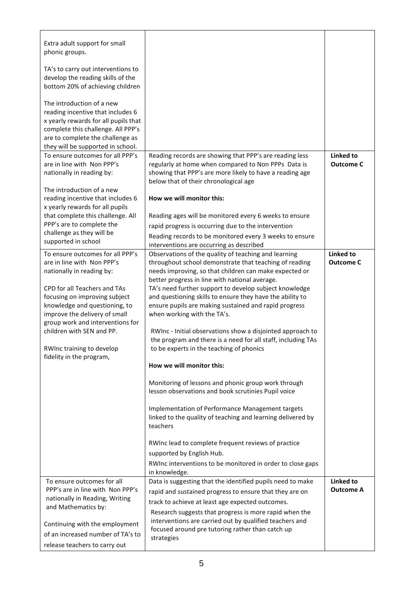| Extra adult support for small<br>phonic groups.<br>TA's to carry out interventions to<br>develop the reading skills of the<br>bottom 20% of achieving children<br>The introduction of a new<br>reading incentive that includes 6<br>x yearly rewards for all pupils that<br>complete this challenge. All PPP's<br>are to complete the challenge as<br>they will be supported in school. |                                                                                                                                                                                                                                                                                                                                                                                                                                                                                                                                                                                                                                                                                                                                                                                                                                                                                                                                                                                                                                                                  |                                      |
|-----------------------------------------------------------------------------------------------------------------------------------------------------------------------------------------------------------------------------------------------------------------------------------------------------------------------------------------------------------------------------------------|------------------------------------------------------------------------------------------------------------------------------------------------------------------------------------------------------------------------------------------------------------------------------------------------------------------------------------------------------------------------------------------------------------------------------------------------------------------------------------------------------------------------------------------------------------------------------------------------------------------------------------------------------------------------------------------------------------------------------------------------------------------------------------------------------------------------------------------------------------------------------------------------------------------------------------------------------------------------------------------------------------------------------------------------------------------|--------------------------------------|
| To ensure outcomes for all PPP's<br>are in line with Non PPP's<br>nationally in reading by:<br>The introduction of a new<br>reading incentive that includes 6<br>x yearly rewards for all pupils<br>that complete this challenge. All<br>PPP's are to complete the<br>challenge as they will be<br>supported in school                                                                  | Reading records are showing that PPP's are reading less<br>regularly at home when compared to Non PPPs Data is<br>showing that PPP's are more likely to have a reading age<br>below that of their chronological age<br>How we will monitor this:<br>Reading ages will be monitored every 6 weeks to ensure<br>rapid progress is occurring due to the intervention<br>Reading records to be monitored every 3 weeks to ensure<br>interventions are occurring as described                                                                                                                                                                                                                                                                                                                                                                                                                                                                                                                                                                                         | <b>Linked to</b><br><b>Outcome C</b> |
| To ensure outcomes for all PPP's<br>are in line with Non PPP's<br>nationally in reading by:<br>CPD for all Teachers and TAs<br>focusing on improving subject<br>knowledge and questioning, to<br>improve the delivery of small<br>group work and interventions for<br>children with SEN and PP.<br>RWInc training to develop<br>fidelity in the program,                                | Observations of the quality of teaching and learning<br>throughout school demonstrate that teaching of reading<br>needs improving, so that children can make expected or<br>better progress in line with national average.<br>TA's need further support to develop subject knowledge<br>and questioning skills to ensure they have the ability to<br>ensure pupils are making sustained and rapid progress<br>when working with the TA's.<br>RWInc - Initial observations show a disjointed approach to<br>the program and there is a need for all staff, including TAs<br>to be experts in the teaching of phonics<br>How we will monitor this:<br>Monitoring of lessons and phonic group work through<br>lesson observations and book scrutinies Pupil voice<br>Implementation of Performance Management targets<br>linked to the quality of teaching and learning delivered by<br>teachers<br>RWInc lead to complete frequent reviews of practice<br>supported by English Hub.<br>RWInc interventions to be monitored in order to close gaps<br>in knowledge. | <b>Linked to</b><br><b>Outcome C</b> |
| To ensure outcomes for all<br>PPP's are in line with Non PPP's<br>nationally in Reading, Writing<br>and Mathematics by:<br>Continuing with the employment<br>of an increased number of TA's to<br>release teachers to carry out                                                                                                                                                         | Data is suggesting that the identified pupils need to make<br>rapid and sustained progress to ensure that they are on<br>track to achieve at least age expected outcomes.<br>Research suggests that progress is more rapid when the<br>interventions are carried out by qualified teachers and<br>focused around pre tutoring rather than catch up<br>strategies                                                                                                                                                                                                                                                                                                                                                                                                                                                                                                                                                                                                                                                                                                 | Linked to<br><b>Outcome A</b>        |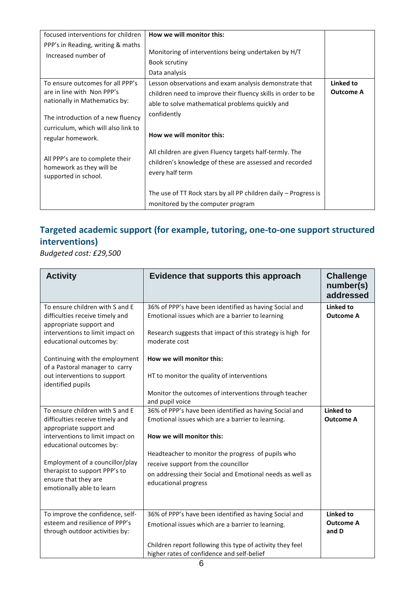| focused interventions for children<br>PPP's in Reading, writing & maths<br>Increased number of                                       | How we will monitor this:<br>Monitoring of interventions being undertaken by H/T<br>Book scrutiny<br>Data analysis                                                                       |                               |
|--------------------------------------------------------------------------------------------------------------------------------------|------------------------------------------------------------------------------------------------------------------------------------------------------------------------------------------|-------------------------------|
| To ensure outcomes for all PPP's<br>are in line with Non PPP's<br>nationally in Mathematics by:<br>The introduction of a new fluency | Lesson observations and exam analysis demonstrate that<br>children need to improve their fluency skills in order to be<br>able to solve mathematical problems quickly and<br>confidently | Linked to<br><b>Outcome A</b> |
| curriculum, which will also link to<br>regular homework.                                                                             | How we will monitor this:                                                                                                                                                                |                               |
| All PPP's are to complete their<br>homework as they will be<br>supported in school.                                                  | All children are given Fluency targets half-termly. The<br>children's knowledge of these are assessed and recorded<br>every half term                                                    |                               |
|                                                                                                                                      | The use of TT Rock stars by all PP children daily – Progress is<br>monitored by the computer program                                                                                     |                               |

## **Targeted academic support (for example, tutoring, one-to-one support structured interventions)**

*Budgeted cost: £29,500*

| <b>Activity</b>                                                                                                                                               | Evidence that supports this approach                                                                                                                                                      | <b>Challenge</b><br>number(s)<br>addressed |
|---------------------------------------------------------------------------------------------------------------------------------------------------------------|-------------------------------------------------------------------------------------------------------------------------------------------------------------------------------------------|--------------------------------------------|
| To ensure children with S and E<br>difficulties receive timely and<br>appropriate support and<br>interventions to limit impact on<br>educational outcomes by: | 36% of PPP's have been identified as having Social and<br>Emotional issues which are a barrier to learning<br>Research suggests that impact of this strategy is high for<br>moderate cost | Linked to<br><b>Outcome A</b>              |
| Continuing with the employment<br>of a Pastoral manager to carry                                                                                              | How we will monitor this:                                                                                                                                                                 |                                            |
| out interventions to support<br>identified pupils                                                                                                             | HT to monitor the quality of interventions<br>Monitor the outcomes of interventions through teacher                                                                                       |                                            |
|                                                                                                                                                               | and pupil voice                                                                                                                                                                           |                                            |
| To ensure children with S and E<br>difficulties receive timely and<br>appropriate support and                                                                 | 36% of PPP's have been identified as having Social and<br>Emotional issues which are a barrier to learning.                                                                               | <b>Linked to</b><br><b>Outcome A</b>       |
| interventions to limit impact on<br>educational outcomes by:                                                                                                  | How we will monitor this:                                                                                                                                                                 |                                            |
|                                                                                                                                                               | Headteacher to monitor the progress of pupils who                                                                                                                                         |                                            |
| Employment of a councillor/play<br>therapist to support PPP's to                                                                                              | receive support from the councillor                                                                                                                                                       |                                            |
| ensure that they are<br>emotionally able to learn                                                                                                             | on addressing their Social and Emotional needs as well as<br>educational progress                                                                                                         |                                            |
| To improve the confidence, self-                                                                                                                              | 36% of PPP's have been identified as having Social and                                                                                                                                    | Linked to                                  |
| esteem and resilience of PPP's<br>through outdoor activities by:                                                                                              | Emotional issues which are a barrier to learning.                                                                                                                                         | <b>Outcome A</b><br>and D                  |
|                                                                                                                                                               | Children report following this type of activity they feel<br>higher rates of confidence and self-belief                                                                                   |                                            |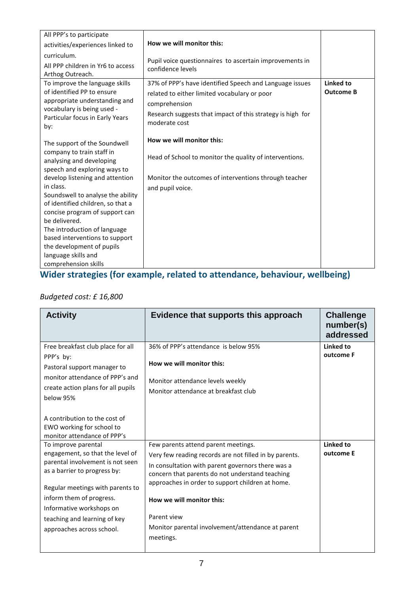| All PPP's to participate                                                                                                                                                                                                                                                                                                |                                                                                                                                                                                                         |                               |
|-------------------------------------------------------------------------------------------------------------------------------------------------------------------------------------------------------------------------------------------------------------------------------------------------------------------------|---------------------------------------------------------------------------------------------------------------------------------------------------------------------------------------------------------|-------------------------------|
| activities/experiences linked to                                                                                                                                                                                                                                                                                        | How we will monitor this:                                                                                                                                                                               |                               |
| curriculum.<br>All PPP children in Yr6 to access<br>Arthog Outreach.                                                                                                                                                                                                                                                    | Pupil voice questionnaires to ascertain improvements in<br>confidence levels                                                                                                                            |                               |
| To improve the language skills<br>of identified PP to ensure<br>appropriate understanding and<br>vocabulary is being used -<br>Particular focus in Early Years<br>by:                                                                                                                                                   | 37% of PPP's have identified Speech and Language issues<br>related to either limited vocabulary or poor<br>comprehension<br>Research suggests that impact of this strategy is high for<br>moderate cost | Linked to<br><b>Outcome B</b> |
| The support of the Soundwell<br>company to train staff in<br>analysing and developing<br>speech and exploring ways to                                                                                                                                                                                                   | How we will monitor this:<br>Head of School to monitor the quality of interventions.                                                                                                                    |                               |
| develop listening and attention<br>in class.<br>Soundswell to analyse the ability<br>of identified children, so that a<br>concise program of support can<br>be delivered.<br>The introduction of language<br>based interventions to support<br>the development of pupils<br>language skills and<br>comprehension skills | Monitor the outcomes of interventions through teacher<br>and pupil voice.                                                                                                                               |                               |

#### **Wider strategies (for example, related to attendance, behaviour, wellbeing)**

#### *Budgeted cost: £ 16,800*

| <b>Activity</b>                                                                                                                                                                                                                                                                      | Evidence that supports this approach                                                                                                                                                                                                                                                                                                                                    | <b>Challenge</b><br>number(s)<br>addressed |
|--------------------------------------------------------------------------------------------------------------------------------------------------------------------------------------------------------------------------------------------------------------------------------------|-------------------------------------------------------------------------------------------------------------------------------------------------------------------------------------------------------------------------------------------------------------------------------------------------------------------------------------------------------------------------|--------------------------------------------|
| Free breakfast club place for all<br>PPP's by:<br>Pastoral support manager to<br>monitor attendance of PPP's and<br>create action plans for all pupils<br>below 95%<br>A contribution to the cost of<br>EWO working for school to<br>monitor attendance of PPP's                     | 36% of PPP's attendance is below 95%<br>How we will monitor this:<br>Monitor attendance levels weekly<br>Monitor attendance at breakfast club                                                                                                                                                                                                                           | Linked to<br>outcome F                     |
| To improve parental<br>engagement, so that the level of<br>parental involvement is not seen<br>as a barrier to progress by:<br>Regular meetings with parents to<br>inform them of progress.<br>Informative workshops on<br>teaching and learning of key<br>approaches across school. | Few parents attend parent meetings.<br>Very few reading records are not filled in by parents.<br>In consultation with parent governors there was a<br>concern that parents do not understand teaching<br>approaches in order to support children at home.<br>How we will monitor this:<br>Parent view<br>Monitor parental involvement/attendance at parent<br>meetings. | Linked to<br>outcome E                     |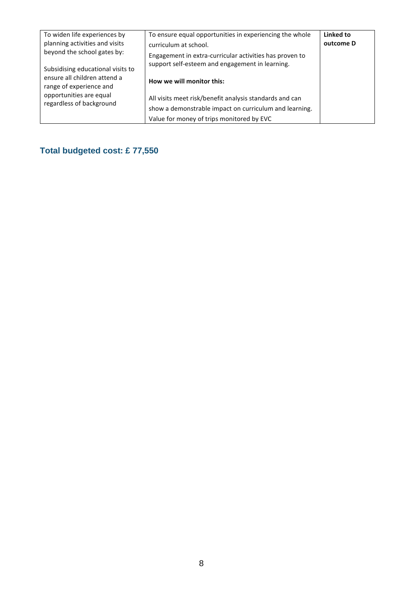| To widen life experiences by<br>planning activities and visits<br>beyond the school gates by:<br>Subsidising educational visits to<br>ensure all children attend a<br>range of experience and<br>opportunities are equal<br>regardless of background | To ensure equal opportunities in experiencing the whole<br>curriculum at school.<br>Engagement in extra-curricular activities has proven to<br>support self-esteem and engagement in learning.<br>How we will monitor this:<br>All visits meet risk/benefit analysis standards and can<br>show a demonstrable impact on curriculum and learning. | Linked to<br>outcome D |
|------------------------------------------------------------------------------------------------------------------------------------------------------------------------------------------------------------------------------------------------------|--------------------------------------------------------------------------------------------------------------------------------------------------------------------------------------------------------------------------------------------------------------------------------------------------------------------------------------------------|------------------------|
|                                                                                                                                                                                                                                                      | Value for money of trips monitored by EVC                                                                                                                                                                                                                                                                                                        |                        |

### **Total budgeted cost: £ 77,550**